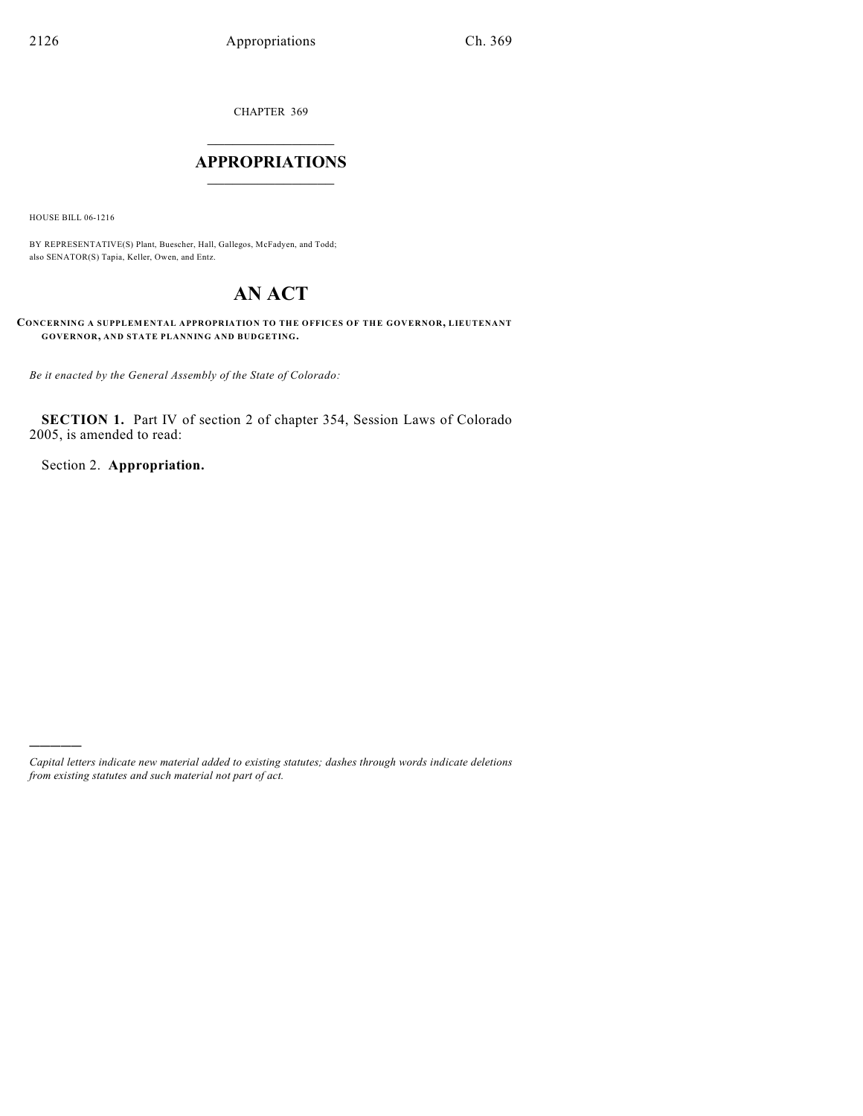CHAPTER 369

# $\mathcal{L}_\text{max}$  . The set of the set of the set of the set of the set of the set of the set of the set of the set of the set of the set of the set of the set of the set of the set of the set of the set of the set of the set **APPROPRIATIONS**  $\_$   $\_$   $\_$   $\_$   $\_$   $\_$   $\_$   $\_$

HOUSE BILL 06-1216

)))))

BY REPRESENTATIVE(S) Plant, Buescher, Hall, Gallegos, McFadyen, and Todd; also SENATOR(S) Tapia, Keller, Owen, and Entz.

# **AN ACT**

**CONCERNING A SUPPLEMENTAL APPROPRIATION TO THE OFFICES OF THE GOVERNOR, LIEUTENANT GOVERNOR, AND STATE PLANNING AND BUDGETING.**

*Be it enacted by the General Assembly of the State of Colorado:*

**SECTION 1.** Part IV of section 2 of chapter 354, Session Laws of Colorado 2005, is amended to read:

Section 2. **Appropriation.**

*Capital letters indicate new material added to existing statutes; dashes through words indicate deletions from existing statutes and such material not part of act.*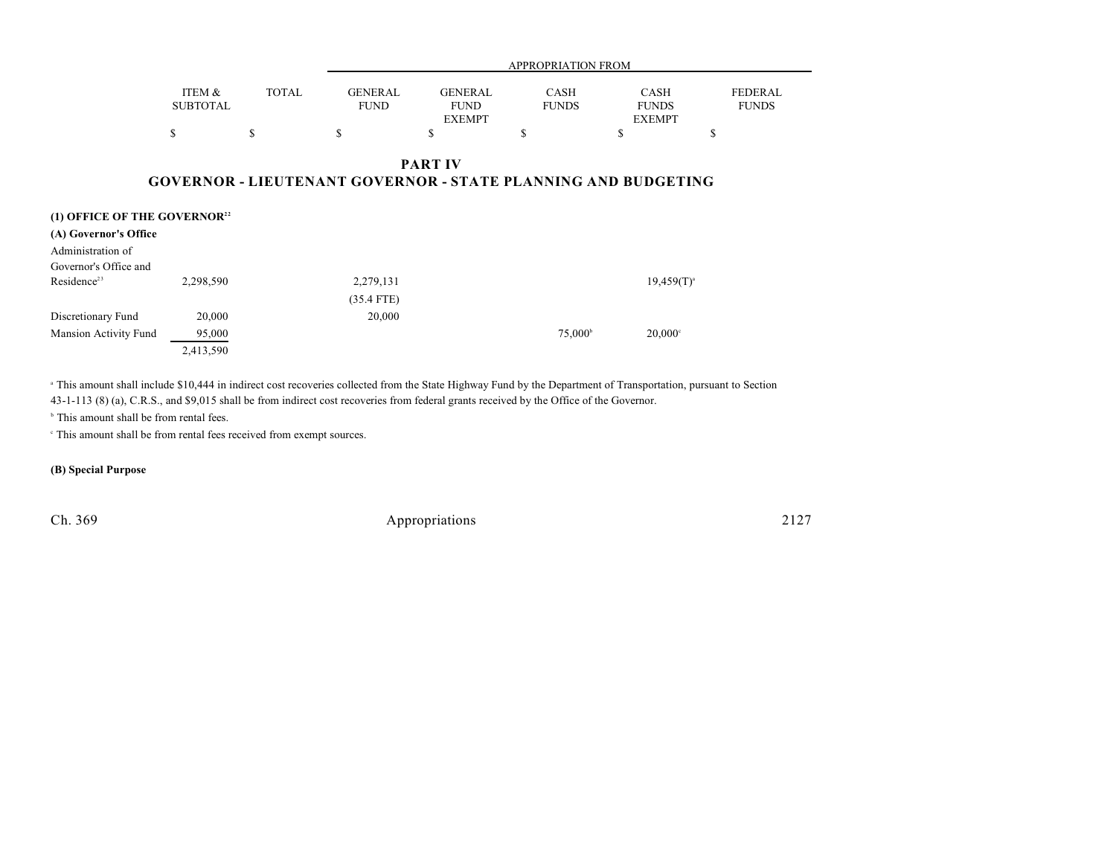|                                                                     |                           |              |                               |                                                | <b>APPROPRIATION FROM</b>                                            |                                              |                                |
|---------------------------------------------------------------------|---------------------------|--------------|-------------------------------|------------------------------------------------|----------------------------------------------------------------------|----------------------------------------------|--------------------------------|
|                                                                     | ITEM &<br><b>SUBTOTAL</b> | <b>TOTAL</b> | <b>GENERAL</b><br><b>FUND</b> | <b>GENERAL</b><br><b>FUND</b><br><b>EXEMPT</b> | <b>CASH</b><br><b>FUNDS</b>                                          | <b>CASH</b><br><b>FUNDS</b><br><b>EXEMPT</b> | <b>FEDERAL</b><br><b>FUNDS</b> |
|                                                                     | \$                        | \$           | \$                            | ъ                                              | \$                                                                   | \$                                           | \$                             |
|                                                                     |                           |              |                               | <b>PART IV</b>                                 | <b>GOVERNOR - LIEUTENANT GOVERNOR - STATE PLANNING AND BUDGETING</b> |                                              |                                |
| (1) OFFICE OF THE GOVERNOR <sup>22</sup>                            |                           |              |                               |                                                |                                                                      |                                              |                                |
| (A) Governor's Office<br>Administration of<br>Governor's Office and |                           |              |                               |                                                |                                                                      |                                              |                                |
| Residence <sup>23</sup>                                             | 2,298,590                 |              | 2,279,131                     |                                                |                                                                      | $19,459(T)^{a}$                              |                                |
|                                                                     |                           |              | $(35.4$ FTE)                  |                                                |                                                                      |                                              |                                |
| Discretionary Fund                                                  | 20,000                    |              | 20,000                        |                                                |                                                                      |                                              |                                |
| Mansion Activity Fund                                               | 95,000                    |              |                               |                                                | 75,000 <sup>b</sup>                                                  | $20,000$ <sup>c</sup>                        |                                |

<sup>a</sup> This amount shall include \$10,444 in indirect cost recoveries collected from the State Highway Fund by the Department of Transportation, pursuant to Section 43-1-113 (8) (a), C.R.S., and \$9,015 shall be from indirect cost recoveries from federal grants received by the Office of the Governor.

 $b$  This amount shall be from rental fees.

This amount shall be from rental fees received from exempt sources. <sup>c</sup>

2,413,590

**(B) Special Purpose**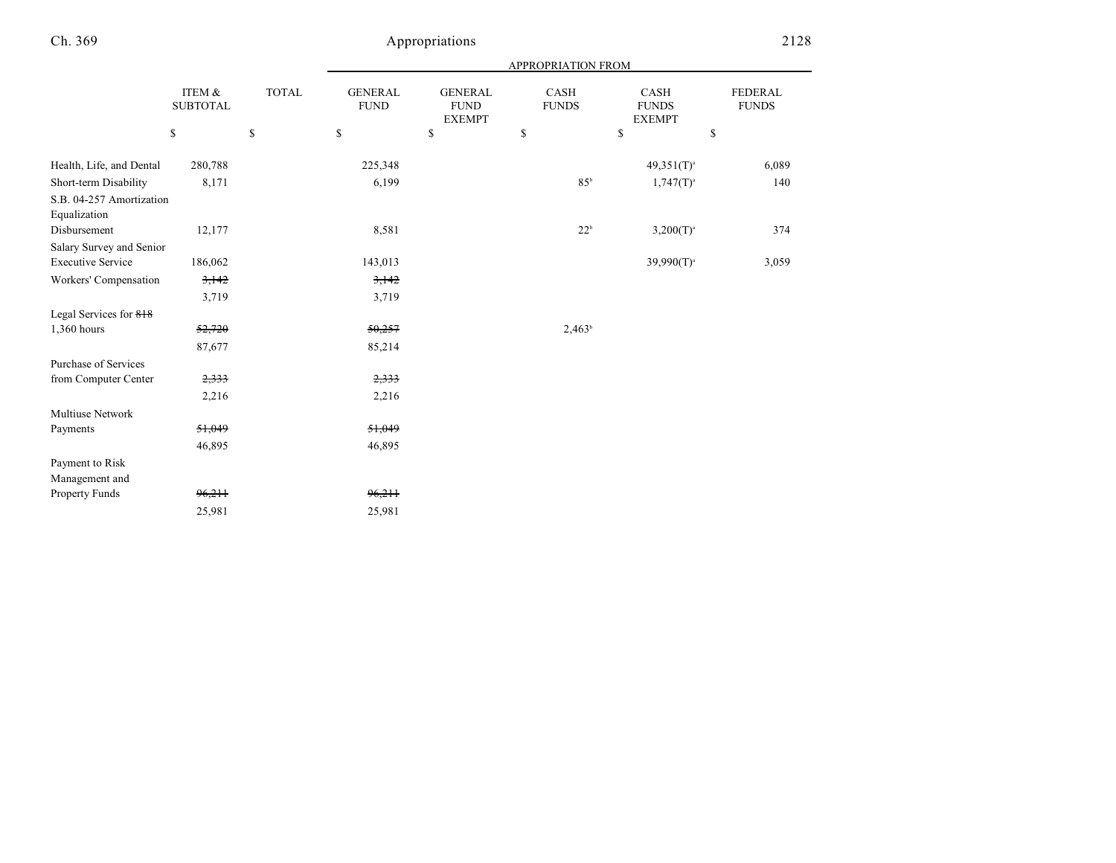|                                          |                           |              | APPROPRIATION FROM            |                                                |                      |                                       |                                |  |
|------------------------------------------|---------------------------|--------------|-------------------------------|------------------------------------------------|----------------------|---------------------------------------|--------------------------------|--|
|                                          | ITEM &<br><b>SUBTOTAL</b> | <b>TOTAL</b> | <b>GENERAL</b><br><b>FUND</b> | <b>GENERAL</b><br><b>FUND</b><br><b>EXEMPT</b> | CASH<br><b>FUNDS</b> | CASH<br><b>FUNDS</b><br><b>EXEMPT</b> | <b>FEDERAL</b><br><b>FUNDS</b> |  |
|                                          | \$                        | $\mathbb{S}$ | \$                            | $\mathbf S$                                    | \$                   | \$                                    | \$                             |  |
| Health, Life, and Dental                 | 280,788                   |              | 225,348                       |                                                |                      | $49,351(T)^{a}$                       | 6,089                          |  |
| Short-term Disability                    | 8,171                     |              | 6,199                         |                                                | 85 <sup>b</sup>      | $1,747(T)^{a}$                        | 140                            |  |
| S.B. 04-257 Amortization<br>Equalization |                           |              |                               |                                                |                      |                                       |                                |  |
| Disbursement                             | 12,177                    |              | 8,581                         |                                                | $22^b$               | $3,200(T)^{a}$                        | 374                            |  |
| Salary Survey and Senior                 |                           |              |                               |                                                |                      |                                       |                                |  |
| <b>Executive Service</b>                 | 186,062                   |              | 143,013                       |                                                |                      | $39,990(T)^{a}$                       | 3,059                          |  |
| Workers' Compensation                    | 3,142                     |              | 3,142                         |                                                |                      |                                       |                                |  |
|                                          | 3,719                     |              | 3,719                         |                                                |                      |                                       |                                |  |
| Legal Services for 818                   |                           |              |                               |                                                |                      |                                       |                                |  |
| 1,360 hours                              | 52,720                    |              | 50,257                        |                                                | $2,463^b$            |                                       |                                |  |
|                                          | 87,677                    |              | 85,214                        |                                                |                      |                                       |                                |  |
| Purchase of Services                     |                           |              |                               |                                                |                      |                                       |                                |  |
| from Computer Center                     | 2,333                     |              | 2,333                         |                                                |                      |                                       |                                |  |
|                                          | 2,216                     |              | 2,216                         |                                                |                      |                                       |                                |  |
| Multiuse Network                         |                           |              |                               |                                                |                      |                                       |                                |  |
| Payments                                 | 51,049                    |              | 51,049                        |                                                |                      |                                       |                                |  |
|                                          | 46,895                    |              | 46,895                        |                                                |                      |                                       |                                |  |
| Payment to Risk<br>Management and        |                           |              |                               |                                                |                      |                                       |                                |  |
| Property Funds                           | 96,211                    |              | 96,211                        |                                                |                      |                                       |                                |  |
|                                          | 25,981                    |              | 25,981                        |                                                |                      |                                       |                                |  |
|                                          |                           |              |                               |                                                |                      |                                       |                                |  |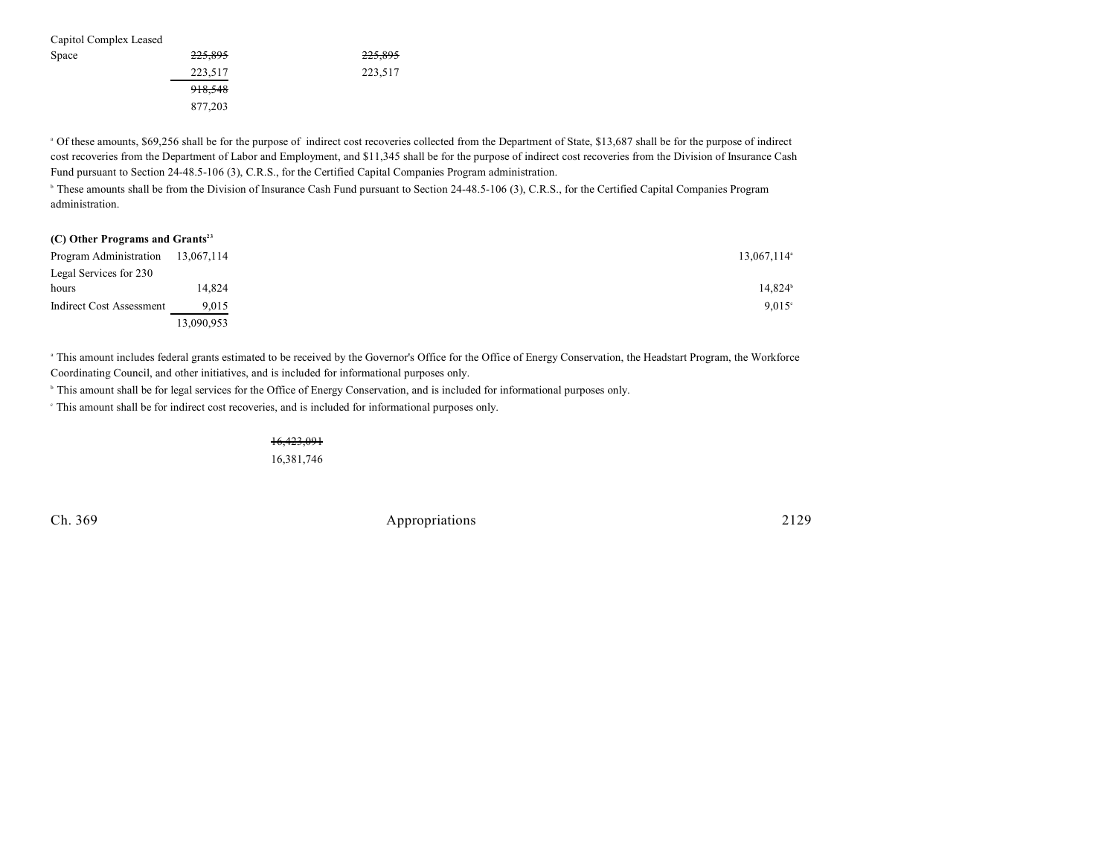| Capitol Complex Leased |         |         |
|------------------------|---------|---------|
| Space                  | 225,895 | 225,895 |
|                        | 223,517 | 223,517 |
|                        | 918,548 |         |
|                        | 877,203 |         |

<sup>a</sup> Of these amounts, \$69,256 shall be for the purpose of indirect cost recoveries collected from the Department of State, \$13,687 shall be for the purpose of indirect cost recoveries from the Department of Labor and Employment, and \$11,345 shall be for the purpose of indirect cost recoveries from the Division of Insurance Cash Fund pursuant to Section 24-48.5-106 (3), C.R.S., for the Certified Capital Companies Program administration.

<sup>b</sup> These amounts shall be from the Division of Insurance Cash Fund pursuant to Section 24-48.5-106 (3), C.R.S., for the Certified Capital Companies Program administration.

|  | (C) Other Programs and Grants <sup>23</sup> |  |  |
|--|---------------------------------------------|--|--|
|--|---------------------------------------------|--|--|

| Program Administration 13,067,114 |            | $13,067,114$ <sup>a</sup> |
|-----------------------------------|------------|---------------------------|
| Legal Services for 230            |            |                           |
| hours                             | 14.824     | 14,824 <sup>b</sup>       |
| <b>Indirect Cost Assessment</b>   | 9,015      | $9.015$ <sup>c</sup>      |
|                                   | 13,090,953 |                           |

<sup>a</sup> This amount includes federal grants estimated to be received by the Governor's Office for the Office of Energy Conservation, the Headstart Program, the Workforce Coordinating Council, and other initiatives, and is included for informational purposes only.

<sup>b</sup> This amount shall be for legal services for the Office of Energy Conservation, and is included for informational purposes only.

This amount shall be for indirect cost recoveries, and is included for informational purposes only. <sup>c</sup>

16,423,091 16,381,746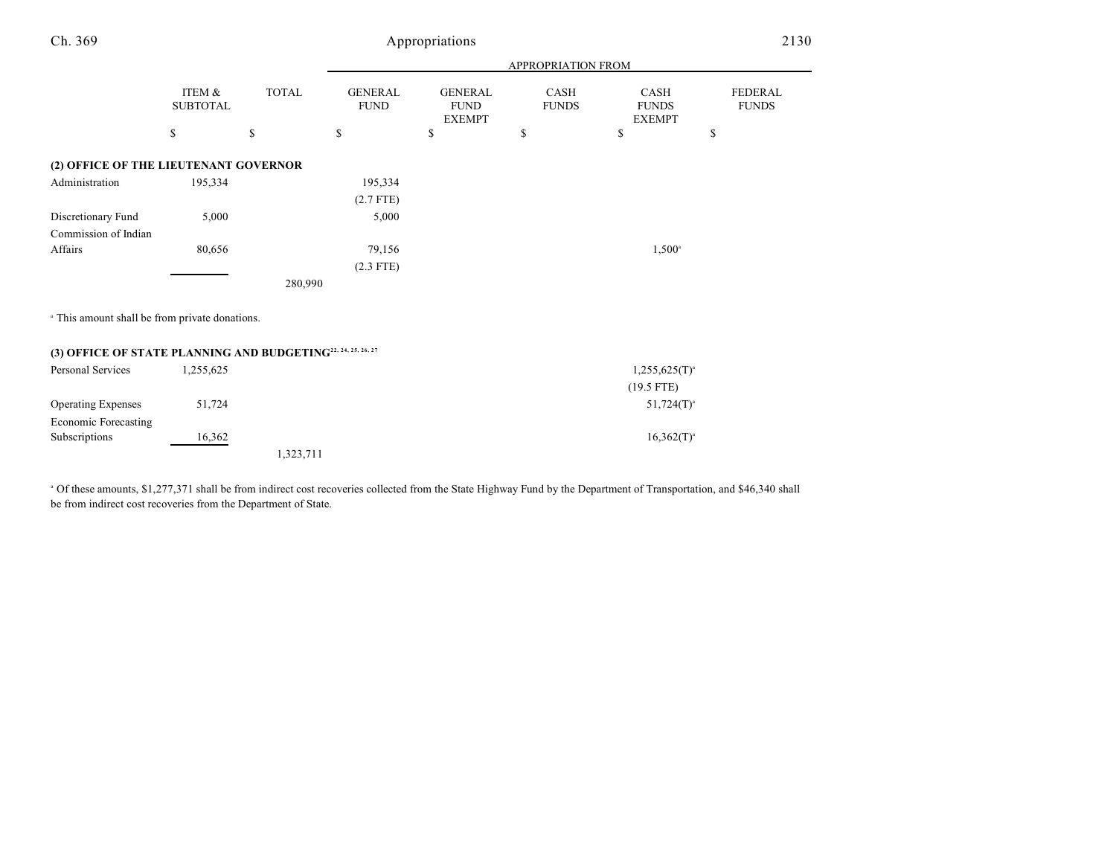| Ch. 369                                                                  | Appropriations            |              |                               |                                                |                             |                                       | 2130                           |  |
|--------------------------------------------------------------------------|---------------------------|--------------|-------------------------------|------------------------------------------------|-----------------------------|---------------------------------------|--------------------------------|--|
|                                                                          |                           |              | APPROPRIATION FROM            |                                                |                             |                                       |                                |  |
|                                                                          | ITEM &<br><b>SUBTOTAL</b> | <b>TOTAL</b> | <b>GENERAL</b><br><b>FUND</b> | <b>GENERAL</b><br><b>FUND</b><br><b>EXEMPT</b> | <b>CASH</b><br><b>FUNDS</b> | CASH<br><b>FUNDS</b><br><b>EXEMPT</b> | <b>FEDERAL</b><br><b>FUNDS</b> |  |
|                                                                          | $\mathbb{S}$              | \$           | $\mathbb{S}$                  | \$                                             | \$                          | \$                                    | \$                             |  |
| (2) OFFICE OF THE LIEUTENANT GOVERNOR                                    |                           |              |                               |                                                |                             |                                       |                                |  |
| Administration                                                           | 195,334                   |              | 195,334                       |                                                |                             |                                       |                                |  |
|                                                                          |                           |              | $(2.7$ FTE)                   |                                                |                             |                                       |                                |  |
| Discretionary Fund                                                       | 5,000                     |              | 5,000                         |                                                |                             |                                       |                                |  |
| Commission of Indian                                                     |                           |              |                               |                                                |                             |                                       |                                |  |
| Affairs                                                                  | 80,656                    |              | 79,156                        |                                                |                             | $1,500^{\circ}$                       |                                |  |
|                                                                          |                           |              | $(2.3$ FTE)                   |                                                |                             |                                       |                                |  |
|                                                                          |                           | 280,990      |                               |                                                |                             |                                       |                                |  |
| <sup>a</sup> This amount shall be from private donations.                |                           |              |                               |                                                |                             |                                       |                                |  |
| (3) OFFICE OF STATE PLANNING AND BUDGETING <sup>22, 24, 25, 26, 27</sup> |                           |              |                               |                                                |                             |                                       |                                |  |
| Personal Services                                                        | 1,255,625                 |              |                               |                                                |                             | $1,255,625(T)^{a}$                    |                                |  |
|                                                                          |                           |              |                               |                                                |                             | $(19.5$ FTE)                          |                                |  |
| Operating Expenses                                                       | 51,724                    |              |                               |                                                |                             | $51,724(T)^{a}$                       |                                |  |
| <b>Economic Forecasting</b>                                              |                           |              |                               |                                                |                             |                                       |                                |  |
| Subscriptions                                                            | 16,362                    |              |                               |                                                |                             | $16,362(T)^{a}$                       |                                |  |
|                                                                          |                           | 1,323,711    |                               |                                                |                             |                                       |                                |  |

<sup>a</sup> Of these amounts, \$1,277,371 shall be from indirect cost recoveries collected from the State Highway Fund by the Department of Transportation, and \$46,340 shall be from indirect cost recoveries from the Department of State.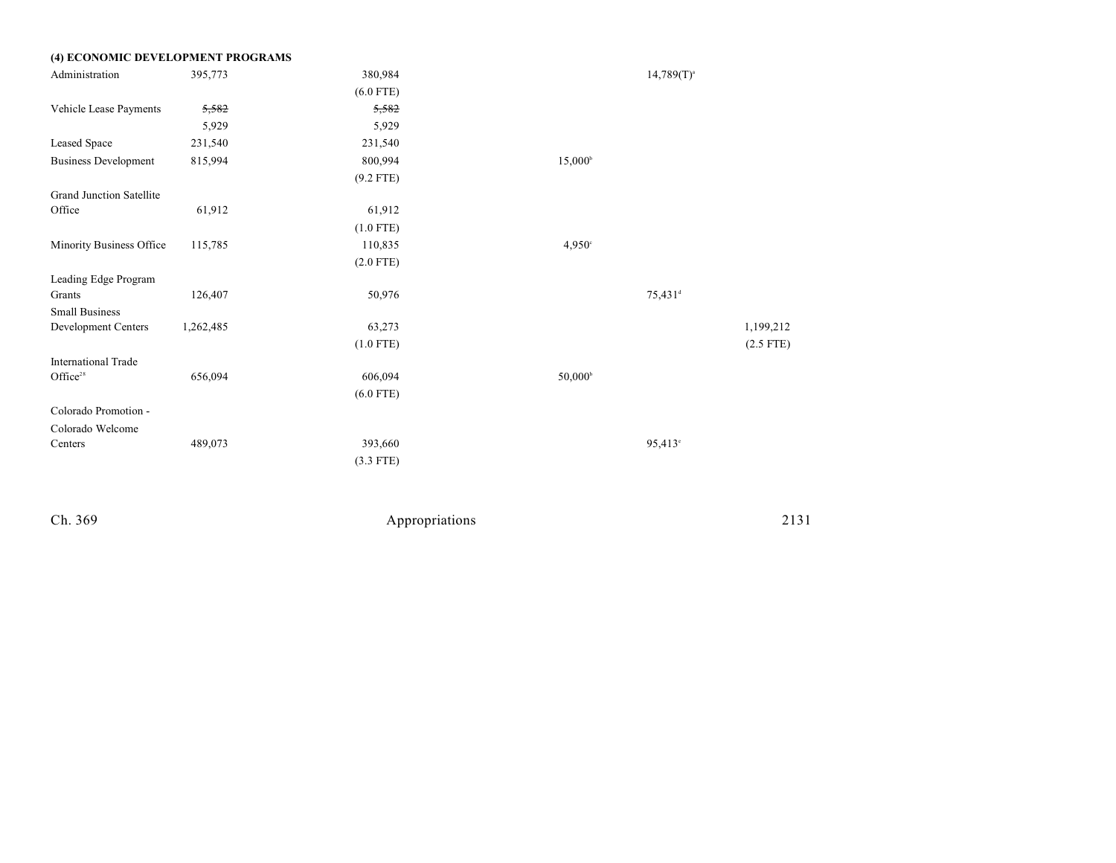| (4) ECONOMIC DEVELOPMENT PROGRAMS |           |             |                     |                     |             |
|-----------------------------------|-----------|-------------|---------------------|---------------------|-------------|
| Administration                    | 395,773   | 380,984     |                     | $14,789(T)^{a}$     |             |
|                                   |           | $(6.0$ FTE) |                     |                     |             |
| Vehicle Lease Payments            | 5,582     | 5,582       |                     |                     |             |
|                                   | 5,929     | 5,929       |                     |                     |             |
| Leased Space                      | 231,540   | 231,540     |                     |                     |             |
| <b>Business Development</b>       | 815,994   | 800,994     | $15,000^{\circ}$    |                     |             |
|                                   |           | $(9.2$ FTE) |                     |                     |             |
| <b>Grand Junction Satellite</b>   |           |             |                     |                     |             |
| Office                            | 61,912    | 61,912      |                     |                     |             |
|                                   |           | $(1.0$ FTE) |                     |                     |             |
| Minority Business Office          | 115,785   | 110,835     | 4,950°              |                     |             |
|                                   |           | $(2.0$ FTE) |                     |                     |             |
| Leading Edge Program              |           |             |                     |                     |             |
| Grants                            | 126,407   | 50,976      |                     | 75,431 <sup>d</sup> |             |
| <b>Small Business</b>             |           |             |                     |                     |             |
| Development Centers               | 1,262,485 | 63,273      |                     |                     | 1,199,212   |
|                                   |           | $(1.0$ FTE) |                     |                     | $(2.5$ FTE) |
| <b>International Trade</b>        |           |             |                     |                     |             |
| Office <sup>28</sup>              | 656,094   | 606,094     | 50,000 <sup>b</sup> |                     |             |
|                                   |           | $(6.0$ FTE) |                     |                     |             |
| Colorado Promotion -              |           |             |                     |                     |             |
| Colorado Welcome                  |           |             |                     |                     |             |
| Centers                           | 489,073   | 393,660     |                     | 95,413 <sup>c</sup> |             |
|                                   |           | $(3.3$ FTE) |                     |                     |             |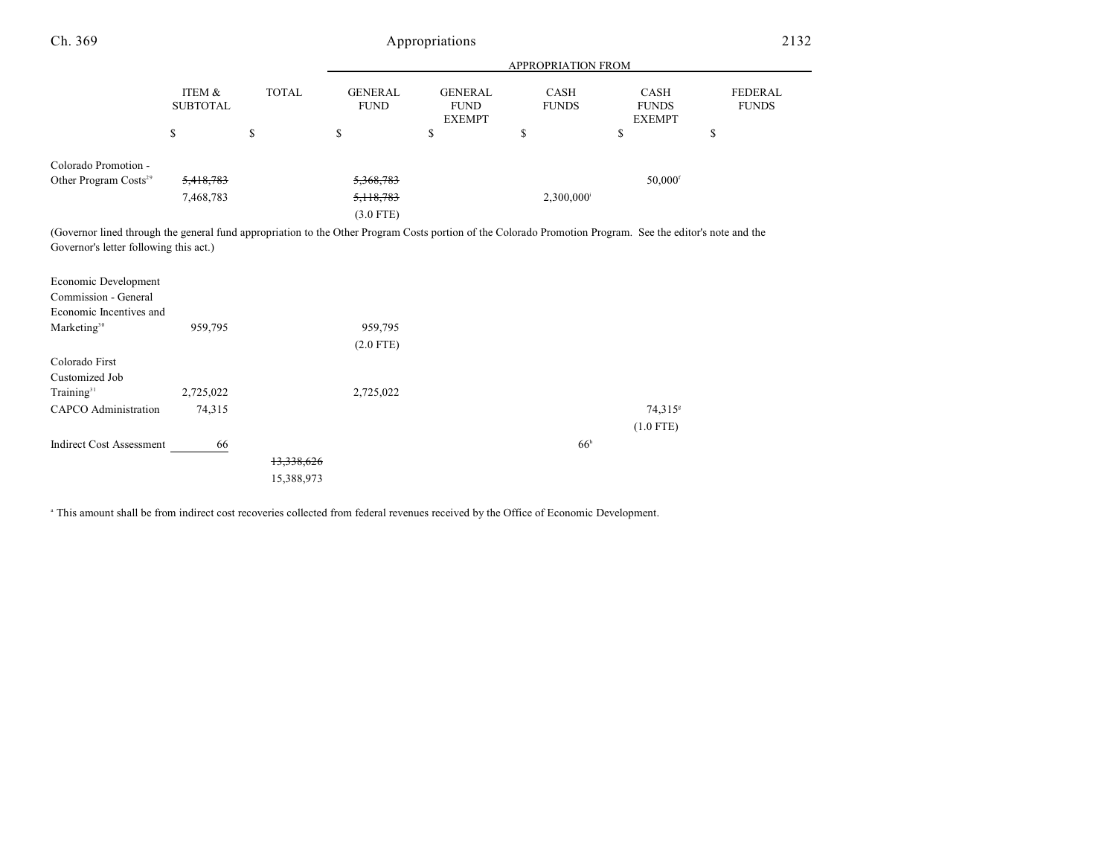| Ch. 369                                                                                                                                                                                              | Appropriations            |              |                               |                                                |                      |                                       | 2132                           |
|------------------------------------------------------------------------------------------------------------------------------------------------------------------------------------------------------|---------------------------|--------------|-------------------------------|------------------------------------------------|----------------------|---------------------------------------|--------------------------------|
|                                                                                                                                                                                                      |                           |              |                               |                                                | APPROPRIATION FROM   |                                       |                                |
|                                                                                                                                                                                                      | ITEM &<br><b>SUBTOTAL</b> | <b>TOTAL</b> | <b>GENERAL</b><br><b>FUND</b> | <b>GENERAL</b><br><b>FUND</b><br><b>EXEMPT</b> | CASH<br><b>FUNDS</b> | CASH<br><b>FUNDS</b><br><b>EXEMPT</b> | <b>FEDERAL</b><br><b>FUNDS</b> |
|                                                                                                                                                                                                      | \$                        | \$           | \$                            | \$                                             | \$                   | \$                                    | \$                             |
| Colorado Promotion -                                                                                                                                                                                 |                           |              |                               |                                                |                      |                                       |                                |
| Other Program Costs <sup>29</sup>                                                                                                                                                                    | 5,418,783                 |              | 5,368,783                     |                                                |                      | $50,000$ <sup>f</sup>                 |                                |
|                                                                                                                                                                                                      | 7,468,783                 |              | 5, 118, 783                   |                                                | 2,300,000            |                                       |                                |
|                                                                                                                                                                                                      |                           |              | $(3.0$ FTE)                   |                                                |                      |                                       |                                |
| (Governor lined through the general fund appropriation to the Other Program Costs portion of the Colorado Promotion Program. See the editor's note and the<br>Governor's letter following this act.) |                           |              |                               |                                                |                      |                                       |                                |
| Economic Development<br>Commission - General<br>Economic Incentives and                                                                                                                              |                           |              |                               |                                                |                      |                                       |                                |
| Marketing <sup>30</sup>                                                                                                                                                                              | 959,795                   |              | 959,795                       |                                                |                      |                                       |                                |
|                                                                                                                                                                                                      |                           |              | $(2.0$ FTE)                   |                                                |                      |                                       |                                |
| Colorado First<br>Customized Job                                                                                                                                                                     |                           |              |                               |                                                |                      |                                       |                                |
| Training $31$                                                                                                                                                                                        | 2,725,022                 |              | 2,725,022                     |                                                |                      |                                       |                                |
| <b>CAPCO</b> Administration                                                                                                                                                                          | 74,315                    |              |                               |                                                |                      | 74,315 <sup>s</sup>                   |                                |
|                                                                                                                                                                                                      |                           |              |                               |                                                |                      | $(1.0$ FTE)                           |                                |
| <b>Indirect Cost Assessment</b>                                                                                                                                                                      | 66                        |              |                               |                                                | 66 <sup>h</sup>      |                                       |                                |
|                                                                                                                                                                                                      |                           | 13,338,626   |                               |                                                |                      |                                       |                                |
|                                                                                                                                                                                                      |                           | 15,388,973   |                               |                                                |                      |                                       |                                |

<sup>a</sup> This amount shall be from indirect cost recoveries collected from federal revenues received by the Office of Economic Development.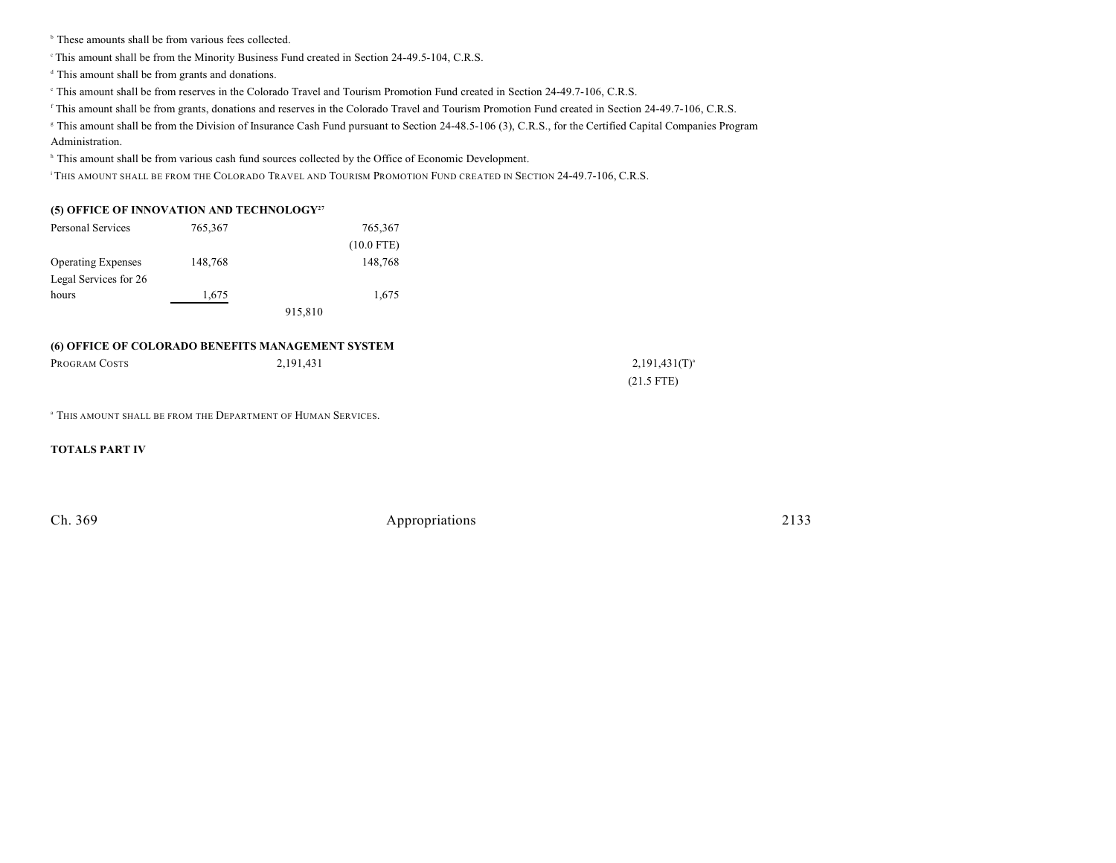$\,^{\circ}$  These amounts shall be from various fees collected.

This amount shall be from the Minority Business Fund created in Section 24-49.5-104, C.R.S. <sup>c</sup>

 $d$  This amount shall be from grants and donations.

This amount shall be from reserves in the Colorado Travel and Tourism Promotion Fund created in Section 24-49.7-106, C.R.S. <sup>e</sup>

<sup>f</sup> This amount shall be from grants, donations and reserves in the Colorado Travel and Tourism Promotion Fund created in Section 24-49.7-106, C.R.S.

<sup>8</sup> This amount shall be from the Division of Insurance Cash Fund pursuant to Section 24-48.5-106 (3), C.R.S., for the Certified Capital Companies Program Administration.

<sup>h</sup> This amount shall be from various cash fund sources collected by the Office of Economic Development.

<sup>i</sup> This amount shall be from the Colorado Travel and Tourism Promotion Fund created in Section 24-49.7-106, C.R.S.

### **(5) OFFICE OF INNOVATION AND TECHNOLOGY<sup>27</sup>**

| Personal Services         | 765,367 |         | 765,367      |
|---------------------------|---------|---------|--------------|
|                           |         |         | $(10.0$ FTE) |
| <b>Operating Expenses</b> | 148,768 |         | 148,768      |
| Legal Services for 26     |         |         |              |
| hours                     | 1,675   |         | 1,675        |
|                           |         | 915,810 |              |

#### **(6) OFFICE OF COLORADO BENEFITS MANAGEMENT SYSTEM**

| PROGRAM COSTS | 2,191,431 | $2,191,431(T)^{a}$ |
|---------------|-----------|--------------------|
|               |           | $(21.5$ FTE)       |

<sup>a</sup> This amount shall be from the Department of Human Services.

**TOTALS PART IV**

| Ch. 369 | Appropriations | 2133 |
|---------|----------------|------|
|         |                |      |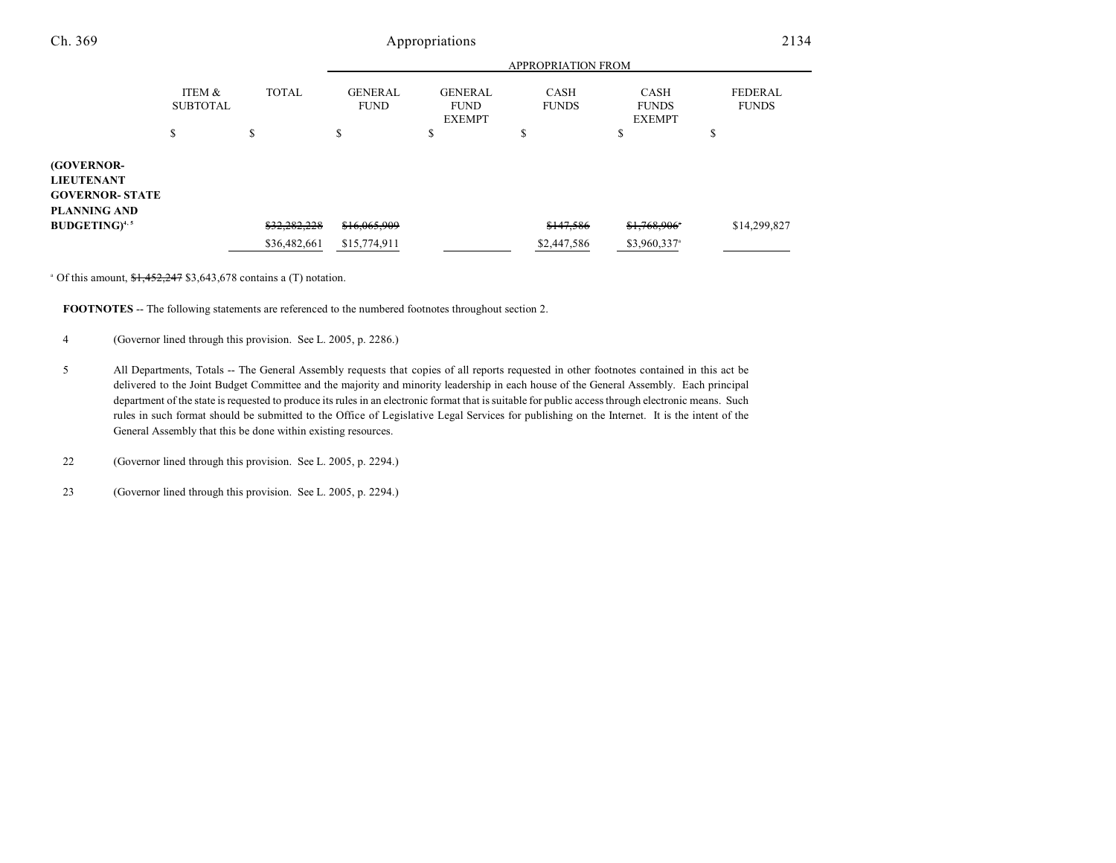| Ch. 369                                                                          | Appropriations            |              |                               |                                                |                             | 2134                                         |                                |
|----------------------------------------------------------------------------------|---------------------------|--------------|-------------------------------|------------------------------------------------|-----------------------------|----------------------------------------------|--------------------------------|
|                                                                                  | <b>APPROPRIATION FROM</b> |              |                               |                                                |                             |                                              |                                |
|                                                                                  | ITEM &<br><b>SUBTOTAL</b> | <b>TOTAL</b> | <b>GENERAL</b><br><b>FUND</b> | <b>GENERAL</b><br><b>FUND</b><br><b>EXEMPT</b> | <b>CASH</b><br><b>FUNDS</b> | <b>CASH</b><br><b>FUNDS</b><br><b>EXEMPT</b> | <b>FEDERAL</b><br><b>FUNDS</b> |
|                                                                                  | \$                        | \$           | \$                            | \$                                             | \$                          | Ф                                            | ¢<br>Ф                         |
| (GOVERNOR-<br><b>LIEUTENANT</b><br><b>GOVERNOR- STATE</b><br><b>PLANNING AND</b> |                           |              |                               |                                                |                             |                                              |                                |
| <b>BUDGETING</b> <sup>4, 5</sup>                                                 |                           | \$32,282,228 | \$16,065,909                  |                                                | \$147,586                   | \$1,768,906*                                 | \$14,299,827                   |
|                                                                                  |                           | \$36,482,661 | \$15,774,911                  |                                                | \$2,447,586                 | \$3,960,337 <sup>a</sup>                     |                                |

 $^{\circ}$  Of this amount,  $$1,452,247$  \$3,643,678 contains a (T) notation.

**FOOTNOTES** -- The following statements are referenced to the numbered footnotes throughout section 2.

4 (Governor lined through this provision. See L. 2005, p. 2286.)

- 5 All Departments, Totals -- The General Assembly requests that copies of all reports requested in other footnotes contained in this act be delivered to the Joint Budget Committee and the majority and minority leadership in each house of the General Assembly. Each principal department of the state is requested to produce its rules in an electronic format that is suitable for public access through electronic means. Such rules in such format should be submitted to the Office of Legislative Legal Services for publishing on the Internet. It is the intent of the General Assembly that this be done within existing resources.
- 22 (Governor lined through this provision. See L. 2005, p. 2294.)

23 (Governor lined through this provision. See L. 2005, p. 2294.)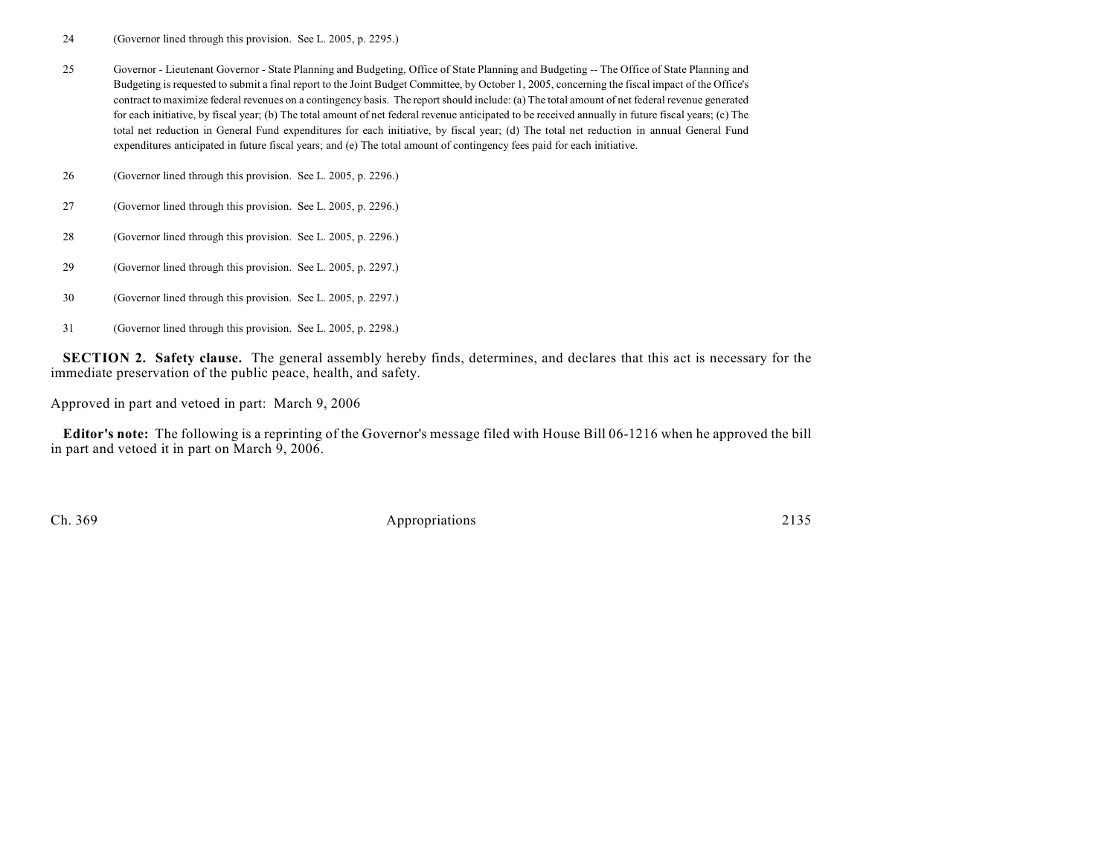24 (Governor lined through this provision. See L. 2005, p. 2295.)

25 Governor - Lieutenant Governor - State Planning and Budgeting, Office of State Planning and Budgeting -- The Office of State Planning and Budgeting is requested to submit a final report to the Joint Budget Committee, by October 1, 2005, concerning the fiscal impact of the Office's contract to maximize federal revenues on a contingency basis. The report should include: (a) The total amount of net federal revenue generated for each initiative, by fiscal year; (b) The total amount of net federal revenue anticipated to be received annually in future fiscal years; (c) The total net reduction in General Fund expenditures for each initiative, by fiscal year; (d) The total net reduction in annual General Fund expenditures anticipated in future fiscal years; and (e) The total amount of contingency fees paid for each initiative.

26 (Governor lined through this provision. See L. 2005, p. 2296.)

27 (Governor lined through this provision. See L. 2005, p. 2296.)

- 28 (Governor lined through this provision. See L. 2005, p. 2296.)
- 29 (Governor lined through this provision. See L. 2005, p. 2297.)
- 30 (Governor lined through this provision. See L. 2005, p. 2297.)
- 31 (Governor lined through this provision. See L. 2005, p. 2298.)

**SECTION 2. Safety clause.** The general assembly hereby finds, determines, and declares that this act is necessary for the immediate preservation of the public peace, health, and safety.

Approved in part and vetoed in part: March 9, 2006

**Editor's note:** The following is a reprinting of the Governor's message filed with House Bill 06-1216 when he approved the bill in part and vetoed it in part on March 9, 2006.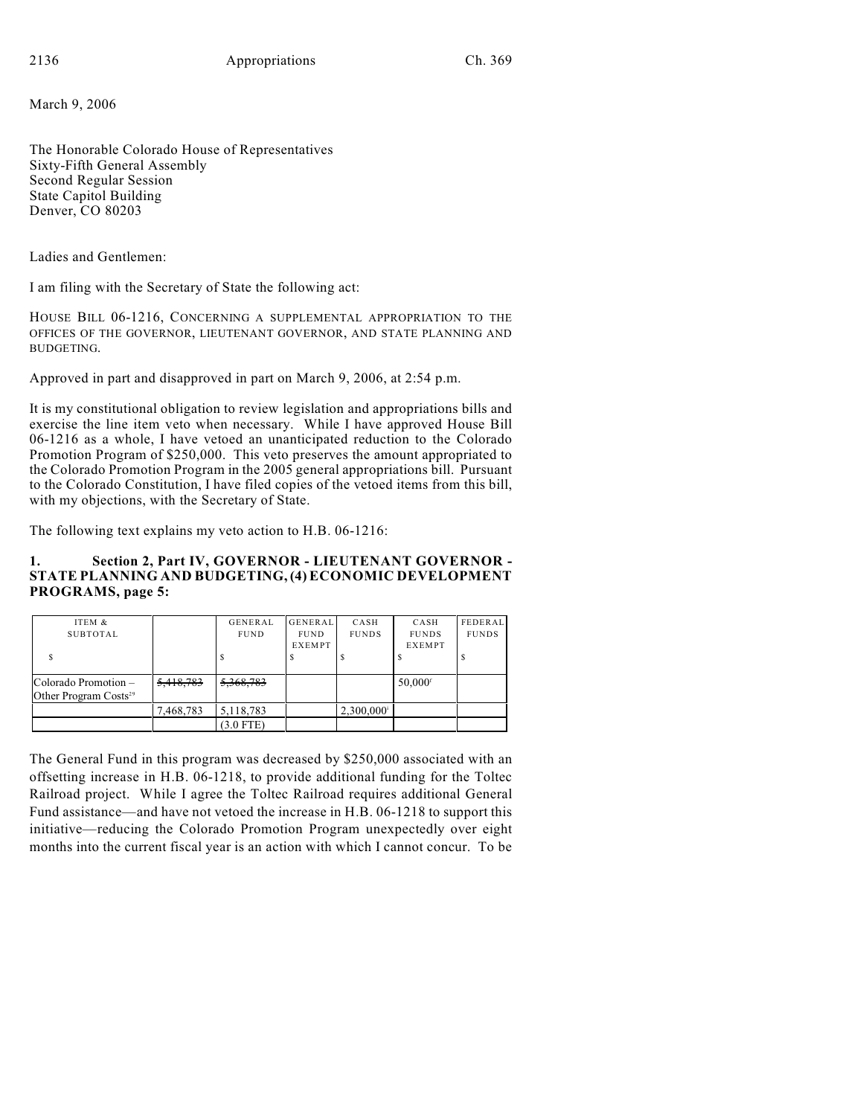March 9, 2006

The Honorable Colorado House of Representatives Sixty-Fifth General Assembly Second Regular Session State Capitol Building Denver, CO 80203

Ladies and Gentlemen:

I am filing with the Secretary of State the following act:

HOUSE BILL 06-1216, CONCERNING A SUPPLEMENTAL APPROPRIATION TO THE OFFICES OF THE GOVERNOR, LIEUTENANT GOVERNOR, AND STATE PLANNING AND BUDGETING.

Approved in part and disapproved in part on March 9, 2006, at 2:54 p.m.

It is my constitutional obligation to review legislation and appropriations bills and exercise the line item veto when necessary. While I have approved House Bill 06-1216 as a whole, I have vetoed an unanticipated reduction to the Colorado Promotion Program of \$250,000. This veto preserves the amount appropriated to the Colorado Promotion Program in the 2005 general appropriations bill. Pursuant to the Colorado Constitution, I have filed copies of the vetoed items from this bill, with my objections, with the Secretary of State.

The following text explains my veto action to H.B. 06-1216:

## **1. Section 2, Part IV, GOVERNOR - LIEUTENANT GOVERNOR - STATE PLANNING AND BUDGETING, (4) ECONOMIC DEVELOPMENT PROGRAMS, page 5:**

| ITEM &                            |           | <b>GENERAL</b> | <b>GENERAL</b> | CASH                     | CASH                  | FEDERAL      |
|-----------------------------------|-----------|----------------|----------------|--------------------------|-----------------------|--------------|
| SUBTOTAL                          |           | <b>FUND</b>    | <b>FUND</b>    | <b>FUNDS</b>             | <b>FUNDS</b>          | <b>FUNDS</b> |
|                                   |           |                | <b>EXEMPT</b>  |                          | <b>EXEMPT</b>         |              |
|                                   |           |                |                |                          |                       |              |
|                                   |           |                |                |                          |                       |              |
| Colorado Promotion –              | 5,418,783 | 5,368,783      |                |                          | $50,000$ <sup>f</sup> |              |
| Other Program Costs <sup>29</sup> |           |                |                |                          |                       |              |
|                                   | 7,468,783 | 5,118,783      |                | $2,300,000$ <sup>i</sup> |                       |              |
|                                   |           | $(3.0$ FTE)    |                |                          |                       |              |

The General Fund in this program was decreased by \$250,000 associated with an offsetting increase in H.B. 06-1218, to provide additional funding for the Toltec Railroad project. While I agree the Toltec Railroad requires additional General Fund assistance—and have not vetoed the increase in H.B. 06-1218 to support this initiative—reducing the Colorado Promotion Program unexpectedly over eight months into the current fiscal year is an action with which I cannot concur. To be